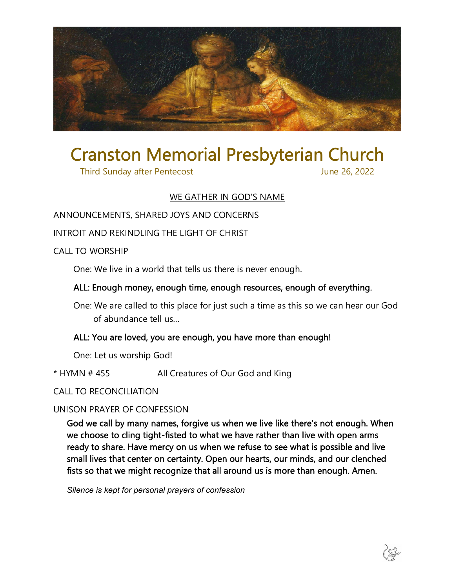

# Cranston Memorial Presbyterian Church

Third Sunday after Pentecost June 26, 2022

# WE GATHER IN GOD'S NAME

# ANNOUNCEMENTS, SHARED JOYS AND CONCERNS

#### INTROIT AND REKINDLING THE LIGHT OF CHRIST

#### CALL TO WORSHIP

One: We live in a world that tells us there is never enough.

# ALL: Enough money, enough time, enough resources, enough of everything.

One: We are called to this place for just such a time as this so we can hear our God of abundance tell us…

# ALL: You are loved, you are enough, you have more than enough!

One: Let us worship God!

\* HYMN # 455 All Creatures of Our God and King

# CALL TO RECONCILIATION

# UNISON PRAYER OF CONFESSION

God we call by many names, forgive us when we live like there's not enough. When we choose to cling tight-fisted to what we have rather than live with open arms ready to share. Have mercy on us when we refuse to see what is possible and live small lives that center on certainty. Open our hearts, our minds, and our clenched fists so that we might recognize that all around us is more than enough. Amen.

*Silence is kept for personal prayers of confession*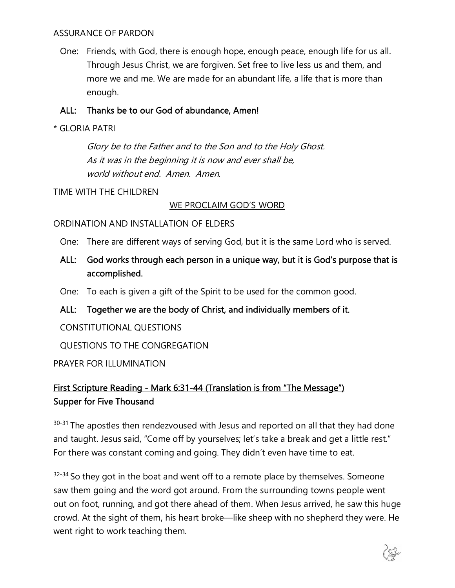#### ASSURANCE OF PARDON

One: Friends, with God, there is enough hope, enough peace, enough life for us all. Through Jesus Christ, we are forgiven. Set free to live less us and them, and more we and me. We are made for an abundant life, a life that is more than enough.

#### ALL: Thanks be to our God of abundance, Amen!

\* GLORIA PATRI

Glory be to the Father and to the Son and to the Holy Ghost. As it was in the beginning it is now and ever shall be, world without end. Amen. Amen.

#### TIME WITH THE CHILDREN

#### WE PROCLAIM GOD'S WORD

#### ORDINATION AND INSTALLATION OF ELDERS

One: There are different ways of serving God, but it is the same Lord who is served.

ALL: God works through each person in a unique way, but it is God's purpose that is accomplished.

One: To each is given a gift of the Spirit to be used for the common good.

ALL: Together we are the body of Christ, and individually members of it.

# CONSTITUTIONAL QUESTIONS

QUESTIONS TO THE CONGREGATION

# PRAYER FOR ILLUMINATION

# First Scripture Reading - Mark 6:31-44 (Translation is from "The Message") Supper for Five Thousand

30-31 The apostles then rendezvoused with Jesus and reported on all that they had done and taught. Jesus said, "Come off by yourselves; let's take a break and get a little rest." For there was constant coming and going. They didn't even have time to eat.

 $32-34$  So they got in the boat and went off to a remote place by themselves. Someone saw them going and the word got around. From the surrounding towns people went out on foot, running, and got there ahead of them. When Jesus arrived, he saw this huge crowd. At the sight of them, his heart broke—like sheep with no shepherd they were. He went right to work teaching them.

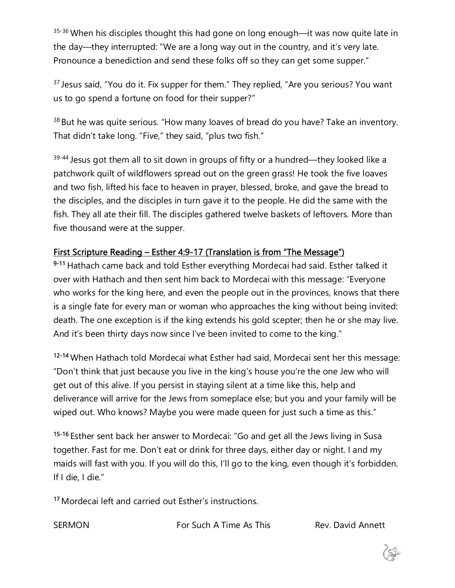35-36 When his disciples thought this had gone on long enough—it was now quite late in the day—they interrupted: "We are a long way out in the country, and it's very late. Pronounce a benediction and send these folks off so they can get some supper."

<sup>37</sup> Jesus said, "You do it. Fix supper for them." They replied, "Are you serious? You want us to go spend a fortune on food for their supper?"

<sup>38</sup> But he was quite serious. "How many loaves of bread do you have? Take an inventory. That didn't take long. "Five," they said, "plus two fish."

 $39-44$  Jesus got them all to sit down in groups of fifty or a hundred—they looked like a patchwork quilt of wildflowers spread out on the green grass! He took the five loaves and two fish, lifted his face to heaven in prayer, blessed, broke, and gave the bread to the disciples, and the disciples in turn gave it to the people. He did the same with the fish. They all ate their fill. The disciples gathered twelve baskets of leftovers. More than five thousand were at the supper.

# First Scripture Reading – Esther 4:9-17 (Translation is from "The Message")

9-11 Hathach came back and told Esther everything Mordecai had said. Esther talked it over with Hathach and then sent him back to Mordecai with this message: "Everyone who works for the king here, and even the people out in the provinces, knows that there is a single fate for every man or woman who approaches the king without being invited: death. The one exception is if the king extends his gold scepter; then he or she may live. And it's been thirty days now since I've been invited to come to the king."

12-14 When Hathach told Mordecai what Esther had said, Mordecai sent her this message: "Don't think that just because you live in the king's house you're the one Jew who will get out of this alive. If you persist in staying silent at a time like this, help and deliverance will arrive for the Jews from someplace else; but you and your family will be wiped out. Who knows? Maybe you were made queen for just such a time as this."

15-16 Esther sent back her answer to Mordecai: "Go and get all the Jews living in Susa together. Fast for me. Don't eat or drink for three days, either day or night. I and my maids will fast with you. If you will do this, I'll go to the king, even though it's forbidden. If I die, I die."

17 Mordecai left and carried out Esther's instructions.

SERMON For Such A Time As This Rev. David Annett